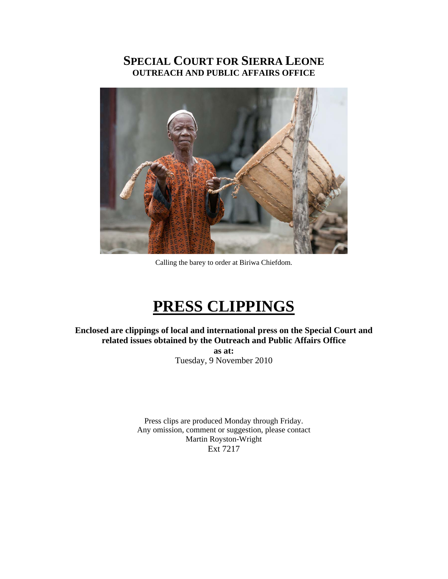# **SPECIAL COURT FOR SIERRA LEONE OUTREACH AND PUBLIC AFFAIRS OFFICE**



Calling the barey to order at Biriwa Chiefdom.

# **PRESS CLIPPINGS**

**Enclosed are clippings of local and international press on the Special Court and related issues obtained by the Outreach and Public Affairs Office** 

> **as at:**  Tuesday, 9 November 2010

Press clips are produced Monday through Friday. Any omission, comment or suggestion, please contact Martin Royston-Wright Ext 7217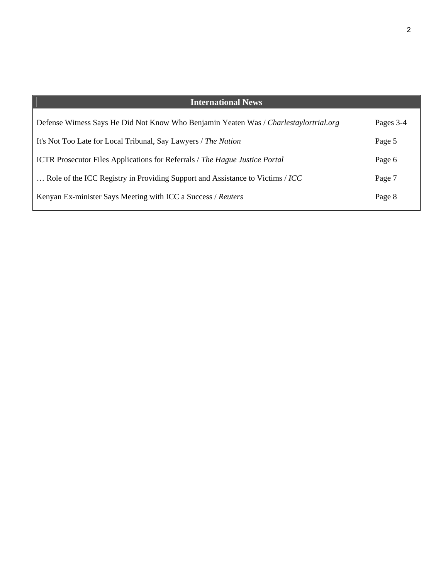| <b>International News</b>                                                             |           |
|---------------------------------------------------------------------------------------|-----------|
| Defense Witness Says He Did Not Know Who Benjamin Yeaten Was / Charlestaylortrial.org | Pages 3-4 |
| It's Not Too Late for Local Tribunal, Say Lawyers / The Nation                        | Page 5    |
| <b>ICTR</b> Prosecutor Files Applications for Referrals / The Hague Justice Portal    | Page 6    |
| Role of the ICC Registry in Providing Support and Assistance to Victims / ICC         | Page 7    |
| Kenyan Ex-minister Says Meeting with ICC a Success / Reuters                          | Page 8    |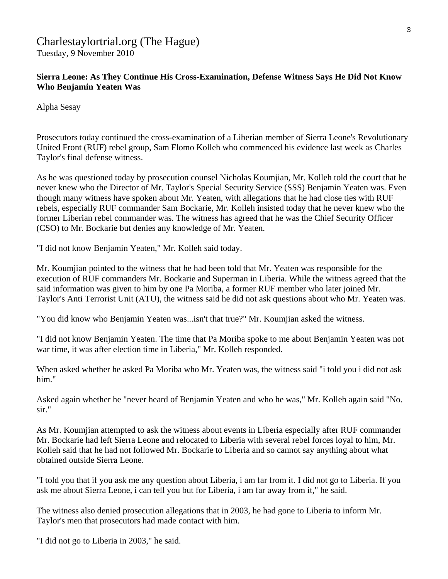## Charlestaylortrial.org (The Hague) Tuesday, 9 November 2010

## **Sierra Leone: As They Continue His Cross-Examination, Defense Witness Says He Did Not Know Who Benjamin Yeaten Was**

Alpha Sesay

Prosecutors today continued the cross-examination of a Liberian member of Sierra Leone's Revolutionary United Front (RUF) rebel group, Sam Flomo Kolleh who commenced his evidence last week as Charles Taylor's final defense witness.

As he was questioned today by prosecution counsel Nicholas Koumjian, Mr. Kolleh told the court that he never knew who the Director of Mr. Taylor's Special Security Service (SSS) Benjamin Yeaten was. Even though many witness have spoken about Mr. Yeaten, with allegations that he had close ties with RUF rebels, especially RUF commander Sam Bockarie, Mr. Kolleh insisted today that he never knew who the former Liberian rebel commander was. The witness has agreed that he was the Chief Security Officer (CSO) to Mr. Bockarie but denies any knowledge of Mr. Yeaten.

"I did not know Benjamin Yeaten," Mr. Kolleh said today.

Mr. Koumjian pointed to the witness that he had been told that Mr. Yeaten was responsible for the execution of RUF commanders Mr. Bockarie and Superman in Liberia. While the witness agreed that the said information was given to him by one Pa Moriba, a former RUF member who later joined Mr. Taylor's Anti Terrorist Unit (ATU), the witness said he did not ask questions about who Mr. Yeaten was.

"You did know who Benjamin Yeaten was...isn't that true?" Mr. Koumjian asked the witness.

"I did not know Benjamin Yeaten. The time that Pa Moriba spoke to me about Benjamin Yeaten was not war time, it was after election time in Liberia," Mr. Kolleh responded.

When asked whether he asked Pa Moriba who Mr. Yeaten was, the witness said "i told you i did not ask him."

Asked again whether he "never heard of Benjamin Yeaten and who he was," Mr. Kolleh again said "No. sir."

As Mr. Koumjian attempted to ask the witness about events in Liberia especially after RUF commander Mr. Bockarie had left Sierra Leone and relocated to Liberia with several rebel forces loyal to him, Mr. Kolleh said that he had not followed Mr. Bockarie to Liberia and so cannot say anything about what obtained outside Sierra Leone.

"I told you that if you ask me any question about Liberia, i am far from it. I did not go to Liberia. If you ask me about Sierra Leone, i can tell you but for Liberia, i am far away from it," he said.

The witness also denied prosecution allegations that in 2003, he had gone to Liberia to inform Mr. Taylor's men that prosecutors had made contact with him.

"I did not go to Liberia in 2003," he said.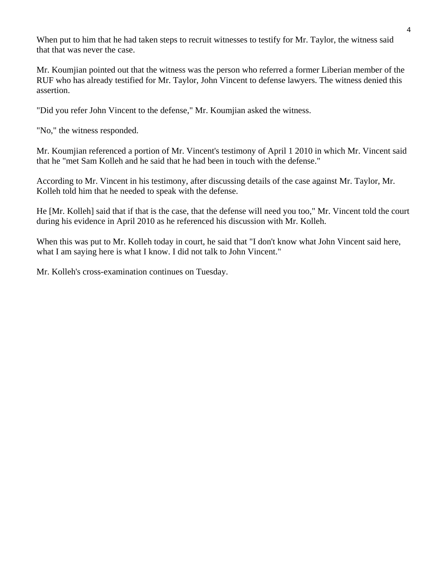When put to him that he had taken steps to recruit witnesses to testify for Mr. Taylor, the witness said that that was never the case.

Mr. Koumjian pointed out that the witness was the person who referred a former Liberian member of the RUF who has already testified for Mr. Taylor, John Vincent to defense lawyers. The witness denied this assertion.

"Did you refer John Vincent to the defense," Mr. Koumjian asked the witness.

"No," the witness responded.

Mr. Koumjian referenced a portion of Mr. Vincent's testimony of April 1 2010 in which Mr. Vincent said that he "met Sam Kolleh and he said that he had been in touch with the defense."

According to Mr. Vincent in his testimony, after discussing details of the case against Mr. Taylor, Mr. Kolleh told him that he needed to speak with the defense.

He [Mr. Kolleh] said that if that is the case, that the defense will need you too," Mr. Vincent told the court during his evidence in April 2010 as he referenced his discussion with Mr. Kolleh.

When this was put to Mr. Kolleh today in court, he said that "I don't know what John Vincent said here, what I am saying here is what I know. I did not talk to John Vincent."

Mr. Kolleh's cross-examination continues on Tuesday.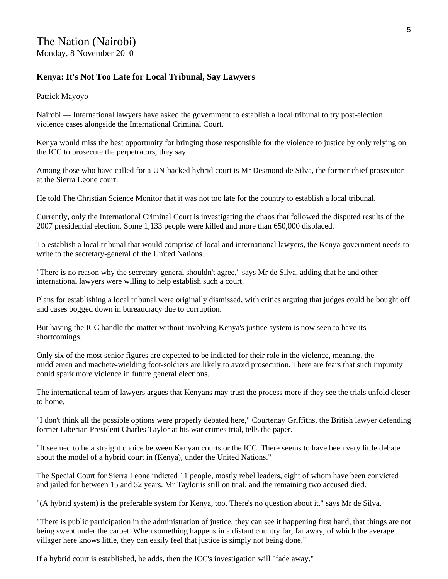## **Kenya: It's Not Too Late for Local Tribunal, Say Lawyers**

Patrick Mayoyo

Nairobi — International lawyers have asked the government to establish a local tribunal to try post-election violence cases alongside the International Criminal Court.

Kenya would miss the best opportunity for bringing those responsible for the violence to justice by only relying on the ICC to prosecute the perpetrators, they say.

Among those who have called for a UN-backed hybrid court is Mr Desmond de Silva, the former chief prosecutor at the Sierra Leone court.

He told The Christian Science Monitor that it was not too late for the country to establish a local tribunal.

Currently, only the International Criminal Court is investigating the chaos that followed the disputed results of the 2007 presidential election. Some 1,133 people were killed and more than 650,000 displaced.

To establish a local tribunal that would comprise of local and international lawyers, the Kenya government needs to write to the secretary-general of the United Nations.

"There is no reason why the secretary-general shouldn't agree," says Mr de Silva, adding that he and other international lawyers were willing to help establish such a court.

Plans for establishing a local tribunal were originally dismissed, with critics arguing that judges could be bought off and cases bogged down in bureaucracy due to corruption.

But having the ICC handle the matter without involving Kenya's justice system is now seen to have its shortcomings.

Only six of the most senior figures are expected to be indicted for their role in the violence, meaning, the middlemen and machete-wielding foot-soldiers are likely to avoid prosecution. There are fears that such impunity could spark more violence in future general elections.

The international team of lawyers argues that Kenyans may trust the process more if they see the trials unfold closer to home.

"I don't think all the possible options were properly debated here," Courtenay Griffiths, the British lawyer defending former Liberian President Charles Taylor at his war crimes trial, tells the paper.

"It seemed to be a straight choice between Kenyan courts or the ICC. There seems to have been very little debate about the model of a hybrid court in (Kenya), under the United Nations."

The Special Court for Sierra Leone indicted 11 people, mostly rebel leaders, eight of whom have been convicted and jailed for between 15 and 52 years. Mr Taylor is still on trial, and the remaining two accused died.

"(A hybrid system) is the preferable system for Kenya, too. There's no question about it," says Mr de Silva.

"There is public participation in the administration of justice, they can see it happening first hand, that things are not being swept under the carpet. When something happens in a distant country far, far away, of which the average villager here knows little, they can easily feel that justice is simply not being done."

If a hybrid court is established, he adds, then the ICC's investigation will "fade away."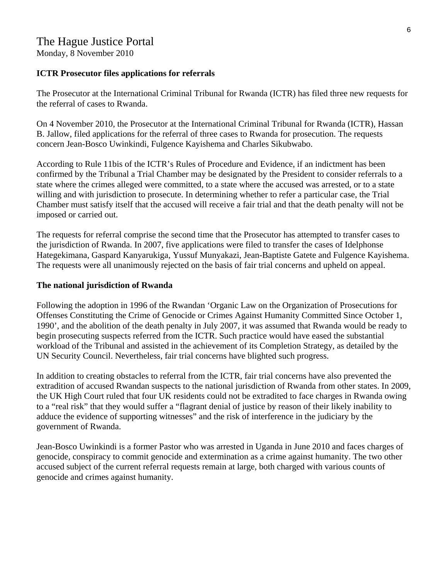Monday, 8 November 2010

#### **ICTR Prosecutor files applications for referrals**

The Prosecutor at the International Criminal Tribunal for Rwanda (ICTR) has filed three new requests for the referral of cases to Rwanda.

On 4 November 2010, the Prosecutor at the International Criminal Tribunal for Rwanda (ICTR), Hassan B. Jallow, filed applications for the referral of three cases to Rwanda for prosecution. The requests concern Jean-Bosco Uwinkindi, Fulgence Kayishema and Charles Sikubwabo.

According to Rule 11bis of the ICTR's Rules of Procedure and Evidence, if an indictment has been confirmed by the Tribunal a Trial Chamber may be designated by the President to consider referrals to a state where the crimes alleged were committed, to a state where the accused was arrested, or to a state willing and with jurisdiction to prosecute. In determining whether to refer a particular case, the Trial Chamber must satisfy itself that the accused will receive a fair trial and that the death penalty will not be imposed or carried out.

The requests for referral comprise the second time that the Prosecutor has attempted to transfer cases to the jurisdiction of Rwanda. In 2007, five applications were filed to transfer the cases of Idelphonse Hategekimana, Gaspard Kanyarukiga, Yussuf Munyakazi, Jean-Baptiste Gatete and Fulgence Kayishema. The requests were all unanimously rejected on the basis of fair trial concerns and upheld on appeal.

#### **The national jurisdiction of Rwanda**

Following the adoption in 1996 of the Rwandan 'Organic Law on the Organization of Prosecutions for Offenses Constituting the Crime of Genocide or Crimes Against Humanity Committed Since October 1, 1990', and the abolition of the death penalty in July 2007, it was assumed that Rwanda would be ready to begin prosecuting suspects referred from the ICTR. Such practice would have eased the substantial workload of the Tribunal and assisted in the achievement of its Completion Strategy, as detailed by the UN Security Council. Nevertheless, fair trial concerns have blighted such progress.

In addition to creating obstacles to referral from the ICTR, fair trial concerns have also prevented the extradition of accused Rwandan suspects to the national jurisdiction of Rwanda from other states. In 2009, the UK High Court ruled that four UK residents could not be extradited to face charges in Rwanda owing to a "real risk" that they would suffer a "flagrant denial of justice by reason of their likely inability to adduce the evidence of supporting witnesses" and the risk of interference in the judiciary by the government of Rwanda.

Jean-Bosco Uwinkindi is a former Pastor who was arrested in Uganda in June 2010 and faces charges of genocide, conspiracy to commit genocide and extermination as a crime against humanity. The two other accused subject of the current referral requests remain at large, both charged with various counts of genocide and crimes against humanity.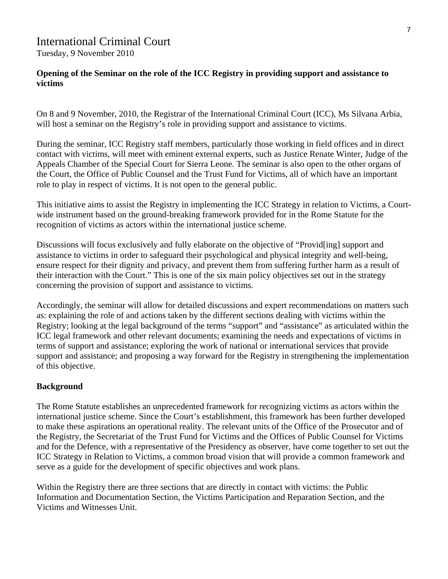# International Criminal Court

Tuesday, 9 November 2010

#### **Opening of the Seminar on the role of the ICC Registry in providing support and assistance to victims**

On 8 and 9 November, 2010, the Registrar of the International Criminal Court (ICC), Ms Silvana Arbia, will host a seminar on the Registry's role in providing support and assistance to victims.

During the seminar, ICC Registry staff members, particularly those working in field offices and in direct contact with victims, will meet with eminent external experts, such as Justice Renate Winter, Judge of the Appeals Chamber of the Special Court for Sierra Leone. The seminar is also open to the other organs of the Court, the Office of Public Counsel and the Trust Fund for Victims, all of which have an important role to play in respect of victims. It is not open to the general public.

This initiative aims to assist the Registry in implementing the ICC Strategy in relation to Victims, a Courtwide instrument based on the ground-breaking framework provided for in the Rome Statute for the recognition of victims as actors within the international justice scheme.

Discussions will focus exclusively and fully elaborate on the objective of "Provid[ing] support and assistance to victims in order to safeguard their psychological and physical integrity and well-being, ensure respect for their dignity and privacy, and prevent them from suffering further harm as a result of their interaction with the Court." This is one of the six main policy objectives set out in the strategy concerning the provision of support and assistance to victims.

Accordingly, the seminar will allow for detailed discussions and expert recommendations on matters such as: explaining the role of and actions taken by the different sections dealing with victims within the Registry; looking at the legal background of the terms "support" and "assistance" as articulated within the ICC legal framework and other relevant documents; examining the needs and expectations of victims in terms of support and assistance; exploring the work of national or international services that provide support and assistance; and proposing a way forward for the Registry in strengthening the implementation of this objective.

#### **Background**

The Rome Statute establishes an unprecedented framework for recognizing victims as actors within the international justice scheme. Since the Court's establishment, this framework has been further developed to make these aspirations an operational reality. The relevant units of the Office of the Prosecutor and of the Registry, the Secretariat of the Trust Fund for Victims and the Offices of Public Counsel for Victims and for the Defence, with a representative of the Presidency as observer, have come together to set out the ICC Strategy in Relation to Victims, a common broad vision that will provide a common framework and serve as a guide for the development of specific objectives and work plans.

Within the Registry there are three sections that are directly in contact with victims: the Public Information and Documentation Section, the Victims Participation and Reparation Section, and the Victims and Witnesses Unit.